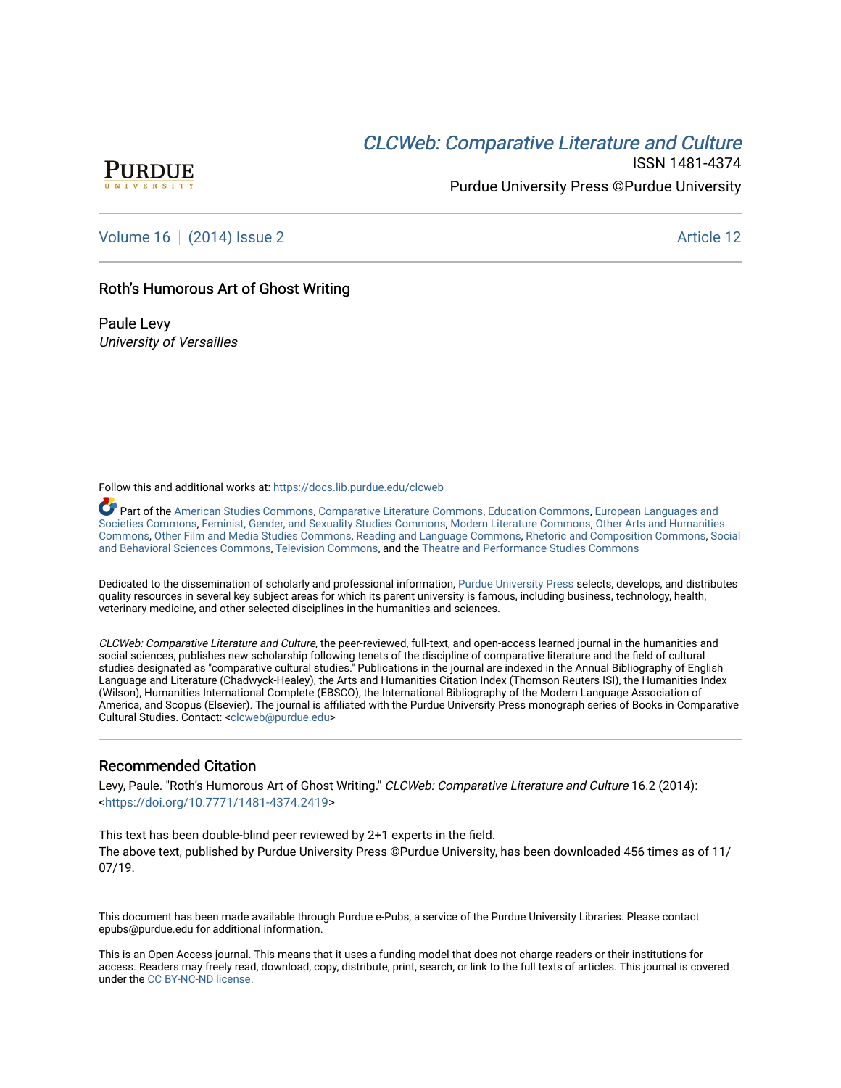# CLCW[eb: Comparative Liter](https://docs.lib.purdue.edu/clcweb)ature and Culture



ISSN 1481-4374 Purdue University Press ©Purdue University

[Volume 16](https://docs.lib.purdue.edu/clcweb/vol16) | [\(2014\) Issue 2](https://docs.lib.purdue.edu/clcweb/vol16/iss2) Article 12

## Roth's Humorous Art of Ghost Writing

Paule Levy University of Versailles

Follow this and additional works at: [https://docs.lib.purdue.edu/clcweb](https://docs.lib.purdue.edu/clcweb?utm_source=docs.lib.purdue.edu%2Fclcweb%2Fvol16%2Fiss2%2F12&utm_medium=PDF&utm_campaign=PDFCoverPages)

Part of the [American Studies Commons](http://network.bepress.com/hgg/discipline/439?utm_source=docs.lib.purdue.edu%2Fclcweb%2Fvol16%2Fiss2%2F12&utm_medium=PDF&utm_campaign=PDFCoverPages), [Comparative Literature Commons,](http://network.bepress.com/hgg/discipline/454?utm_source=docs.lib.purdue.edu%2Fclcweb%2Fvol16%2Fiss2%2F12&utm_medium=PDF&utm_campaign=PDFCoverPages) [Education Commons,](http://network.bepress.com/hgg/discipline/784?utm_source=docs.lib.purdue.edu%2Fclcweb%2Fvol16%2Fiss2%2F12&utm_medium=PDF&utm_campaign=PDFCoverPages) [European Languages and](http://network.bepress.com/hgg/discipline/482?utm_source=docs.lib.purdue.edu%2Fclcweb%2Fvol16%2Fiss2%2F12&utm_medium=PDF&utm_campaign=PDFCoverPages) [Societies Commons](http://network.bepress.com/hgg/discipline/482?utm_source=docs.lib.purdue.edu%2Fclcweb%2Fvol16%2Fiss2%2F12&utm_medium=PDF&utm_campaign=PDFCoverPages), [Feminist, Gender, and Sexuality Studies Commons,](http://network.bepress.com/hgg/discipline/559?utm_source=docs.lib.purdue.edu%2Fclcweb%2Fvol16%2Fiss2%2F12&utm_medium=PDF&utm_campaign=PDFCoverPages) [Modern Literature Commons](http://network.bepress.com/hgg/discipline/1050?utm_source=docs.lib.purdue.edu%2Fclcweb%2Fvol16%2Fiss2%2F12&utm_medium=PDF&utm_campaign=PDFCoverPages), [Other Arts and Humanities](http://network.bepress.com/hgg/discipline/577?utm_source=docs.lib.purdue.edu%2Fclcweb%2Fvol16%2Fiss2%2F12&utm_medium=PDF&utm_campaign=PDFCoverPages)  [Commons,](http://network.bepress.com/hgg/discipline/577?utm_source=docs.lib.purdue.edu%2Fclcweb%2Fvol16%2Fiss2%2F12&utm_medium=PDF&utm_campaign=PDFCoverPages) [Other Film and Media Studies Commons,](http://network.bepress.com/hgg/discipline/565?utm_source=docs.lib.purdue.edu%2Fclcweb%2Fvol16%2Fiss2%2F12&utm_medium=PDF&utm_campaign=PDFCoverPages) [Reading and Language Commons](http://network.bepress.com/hgg/discipline/1037?utm_source=docs.lib.purdue.edu%2Fclcweb%2Fvol16%2Fiss2%2F12&utm_medium=PDF&utm_campaign=PDFCoverPages), [Rhetoric and Composition Commons](http://network.bepress.com/hgg/discipline/573?utm_source=docs.lib.purdue.edu%2Fclcweb%2Fvol16%2Fiss2%2F12&utm_medium=PDF&utm_campaign=PDFCoverPages), [Social](http://network.bepress.com/hgg/discipline/316?utm_source=docs.lib.purdue.edu%2Fclcweb%2Fvol16%2Fiss2%2F12&utm_medium=PDF&utm_campaign=PDFCoverPages) [and Behavioral Sciences Commons](http://network.bepress.com/hgg/discipline/316?utm_source=docs.lib.purdue.edu%2Fclcweb%2Fvol16%2Fiss2%2F12&utm_medium=PDF&utm_campaign=PDFCoverPages), [Television Commons](http://network.bepress.com/hgg/discipline/1143?utm_source=docs.lib.purdue.edu%2Fclcweb%2Fvol16%2Fiss2%2F12&utm_medium=PDF&utm_campaign=PDFCoverPages), and the [Theatre and Performance Studies Commons](http://network.bepress.com/hgg/discipline/552?utm_source=docs.lib.purdue.edu%2Fclcweb%2Fvol16%2Fiss2%2F12&utm_medium=PDF&utm_campaign=PDFCoverPages) 

Dedicated to the dissemination of scholarly and professional information, [Purdue University Press](http://www.thepress.purdue.edu/) selects, develops, and distributes quality resources in several key subject areas for which its parent university is famous, including business, technology, health, veterinary medicine, and other selected disciplines in the humanities and sciences.

CLCWeb: Comparative Literature and Culture, the peer-reviewed, full-text, and open-access learned journal in the humanities and social sciences, publishes new scholarship following tenets of the discipline of comparative literature and the field of cultural studies designated as "comparative cultural studies." Publications in the journal are indexed in the Annual Bibliography of English Language and Literature (Chadwyck-Healey), the Arts and Humanities Citation Index (Thomson Reuters ISI), the Humanities Index (Wilson), Humanities International Complete (EBSCO), the International Bibliography of the Modern Language Association of America, and Scopus (Elsevier). The journal is affiliated with the Purdue University Press monograph series of Books in Comparative Cultural Studies. Contact: [<clcweb@purdue.edu](mailto:clcweb@purdue.edu)>

### Recommended Citation

Levy, Paule. "Roth's Humorous Art of Ghost Writing." CLCWeb: Comparative Literature and Culture 16.2 (2014): <<https://doi.org/10.7771/1481-4374.2419>>

This text has been double-blind peer reviewed by 2+1 experts in the field. The above text, published by Purdue University Press ©Purdue University, has been downloaded 456 times as of 11/ 07/19.

This document has been made available through Purdue e-Pubs, a service of the Purdue University Libraries. Please contact epubs@purdue.edu for additional information.

This is an Open Access journal. This means that it uses a funding model that does not charge readers or their institutions for access. Readers may freely read, download, copy, distribute, print, search, or link to the full texts of articles. This journal is covered under the [CC BY-NC-ND license.](https://creativecommons.org/licenses/by-nc-nd/4.0/)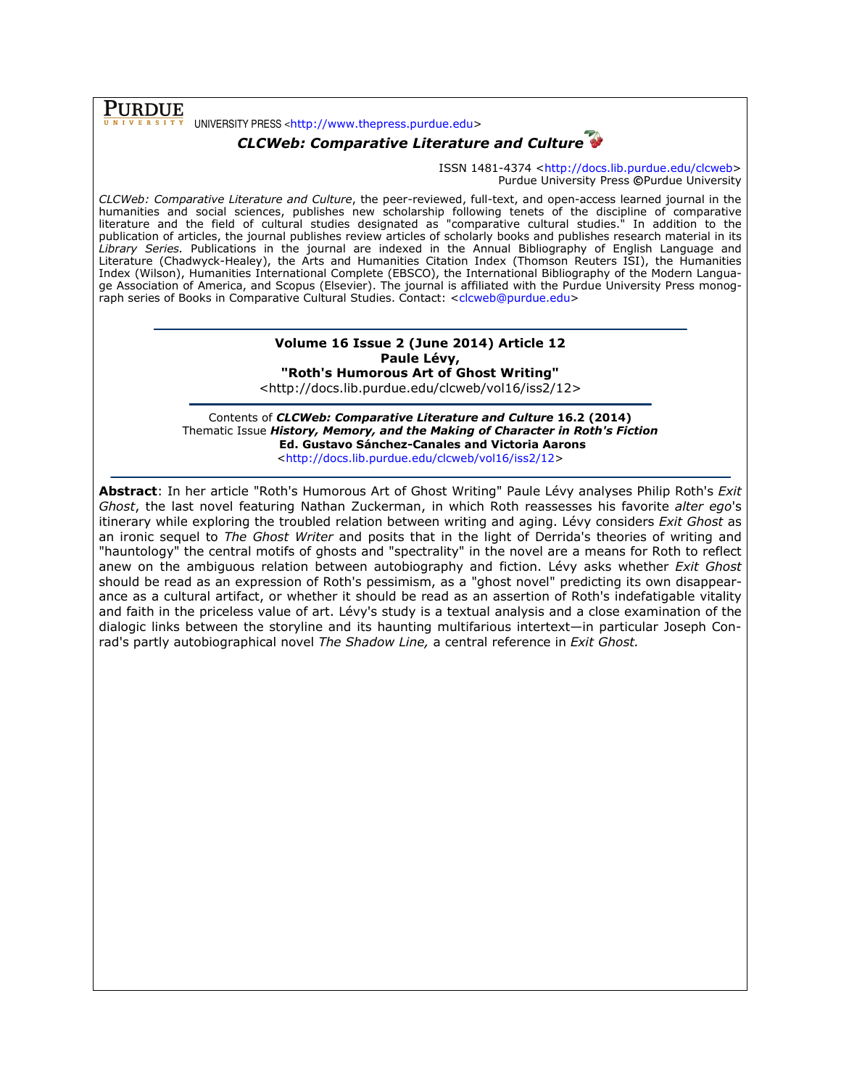#### **PURDUE**  $\bar{Y}$  UNIVERSITY PRESS <http://www.thepress.purdue.edu>

# CLCWeb: Comparative Literature and Culture

ISSN 1481-4374 <http://docs.lib.purdue.edu/clcweb> Purdue University Press ©Purdue University

CLCWeb: Comparative Literature and Culture, the peer-reviewed, full-text, and open-access learned journal in the humanities and social sciences, publishes new scholarship following tenets of the discipline of comparative literature and the field of cultural studies designated as "comparative cultural studies." In addition to the publication of articles, the journal publishes review articles of scholarly books and publishes research material in its Library Series. Publications in the journal are indexed in the Annual Bibliography of English Language and Literature (Chadwyck-Healey), the Arts and Humanities Citation Index (Thomson Reuters ISI), the Humanities Index (Wilson), Humanities International Complete (EBSCO), the International Bibliography of the Modern Language Association of America, and Scopus (Elsevier). The journal is affiliated with the Purdue University Press monograph series of Books in Comparative Cultural Studies. Contact: <clcweb@purdue.edu>

### Volume 16 Issue 2 (June 2014) Article 12 Paule Lévy, "Roth's Humorous Art of Ghost Writing"

<http://docs.lib.purdue.edu/clcweb/vol16/iss2/12>

Contents of CLCWeb: Comparative Literature and Culture 16.2 (2014) Thematic Issue History, Memory, and the Making of Character in Roth's Fiction Ed. Gustavo Sánchez-Canales and Victoria Aarons <http://docs.lib.purdue.edu/clcweb/vol16/iss2/12>

Abstract: In her article "Roth's Humorous Art of Ghost Writing" Paule Lévy analyses Philip Roth's Exit Ghost, the last novel featuring Nathan Zuckerman, in which Roth reassesses his favorite alter ego's itinerary while exploring the troubled relation between writing and aging. Lévy considers Exit Ghost as an ironic sequel to The Ghost Writer and posits that in the light of Derrida's theories of writing and "hauntology" the central motifs of ghosts and "spectrality" in the novel are a means for Roth to reflect anew on the ambiguous relation between autobiography and fiction. Lévy asks whether Exit Ghost should be read as an expression of Roth's pessimism, as a "ghost novel" predicting its own disappearance as a cultural artifact, or whether it should be read as an assertion of Roth's indefatigable vitality and faith in the priceless value of art. Lévy's study is a textual analysis and a close examination of the dialogic links between the storyline and its haunting multifarious intertext—in particular Joseph Conrad's partly autobiographical novel The Shadow Line, a central reference in Exit Ghost.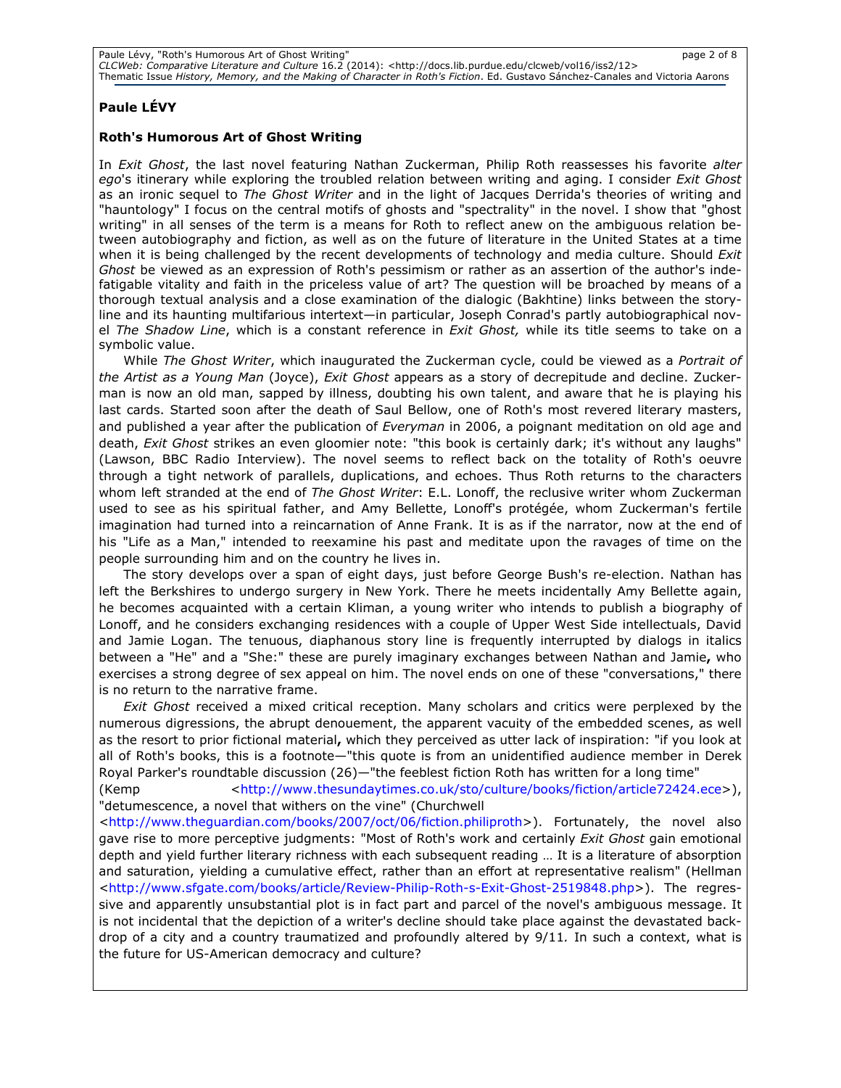# Paule LÉVY

### Roth's Humorous Art of Ghost Writing

In Exit Ghost, the last novel featuring Nathan Zuckerman, Philip Roth reassesses his favorite alter ego's itinerary while exploring the troubled relation between writing and aging. I consider Exit Ghost as an ironic sequel to The Ghost Writer and in the light of Jacques Derrida's theories of writing and "hauntology" I focus on the central motifs of ghosts and "spectrality" in the novel. I show that "ghost writing" in all senses of the term is a means for Roth to reflect anew on the ambiguous relation between autobiography and fiction, as well as on the future of literature in the United States at a time when it is being challenged by the recent developments of technology and media culture. Should Exit Ghost be viewed as an expression of Roth's pessimism or rather as an assertion of the author's indefatigable vitality and faith in the priceless value of art? The question will be broached by means of a thorough textual analysis and a close examination of the dialogic (Bakhtine) links between the storyline and its haunting multifarious intertext—in particular, Joseph Conrad's partly autobiographical novel The Shadow Line, which is a constant reference in Exit Ghost, while its title seems to take on a symbolic value.

While The Ghost Writer, which inaugurated the Zuckerman cycle, could be viewed as a Portrait of the Artist as a Young Man (Joyce), Exit Ghost appears as a story of decrepitude and decline. Zuckerman is now an old man, sapped by illness, doubting his own talent, and aware that he is playing his last cards. Started soon after the death of Saul Bellow, one of Roth's most revered literary masters, and published a year after the publication of *Everyman* in 2006, a poignant meditation on old age and death, Exit Ghost strikes an even gloomier note: "this book is certainly dark; it's without any laughs" (Lawson, BBC Radio Interview). The novel seems to reflect back on the totality of Roth's oeuvre through a tight network of parallels, duplications, and echoes. Thus Roth returns to the characters whom left stranded at the end of The Ghost Writer: E.L. Lonoff, the reclusive writer whom Zuckerman used to see as his spiritual father, and Amy Bellette, Lonoff's protégée, whom Zuckerman's fertile imagination had turned into a reincarnation of Anne Frank. It is as if the narrator, now at the end of his "Life as a Man," intended to reexamine his past and meditate upon the ravages of time on the people surrounding him and on the country he lives in.

The story develops over a span of eight days, just before George Bush's re-election. Nathan has left the Berkshires to undergo surgery in New York. There he meets incidentally Amy Bellette again, he becomes acquainted with a certain Kliman, a young writer who intends to publish a biography of Lonoff, and he considers exchanging residences with a couple of Upper West Side intellectuals, David and Jamie Logan. The tenuous, diaphanous story line is frequently interrupted by dialogs in italics between a "He" and a "She:" these are purely imaginary exchanges between Nathan and Jamie, who exercises a strong degree of sex appeal on him. The novel ends on one of these "conversations," there is no return to the narrative frame.

Exit Ghost received a mixed critical reception. Many scholars and critics were perplexed by the numerous digressions, the abrupt denouement, the apparent vacuity of the embedded scenes, as well as the resort to prior fictional material, which they perceived as utter lack of inspiration: "if you look at all of Roth's books, this is a footnote—"this quote is from an unidentified audience member in Derek Royal Parker's roundtable discussion (26)—"the feeblest fiction Roth has written for a long time"

(Kemp <http://www.thesundaytimes.co.uk/sto/culture/books/fiction/article72424.ece>), "detumescence, a novel that withers on the vine" (Churchwell

<http://www.theguardian.com/books/2007/oct/06/fiction.philiproth>). Fortunately, the novel also gave rise to more perceptive judgments: "Most of Roth's work and certainly Exit Ghost gain emotional depth and yield further literary richness with each subsequent reading … It is a literature of absorption and saturation, yielding a cumulative effect, rather than an effort at representative realism" (Hellman <http://www.sfgate.com/books/article/Review-Philip-Roth-s-Exit-Ghost-2519848.php>). The regressive and apparently unsubstantial plot is in fact part and parcel of the novel's ambiguous message. It is not incidental that the depiction of a writer's decline should take place against the devastated backdrop of a city and a country traumatized and profoundly altered by 9/11. In such a context, what is the future for US-American democracy and culture?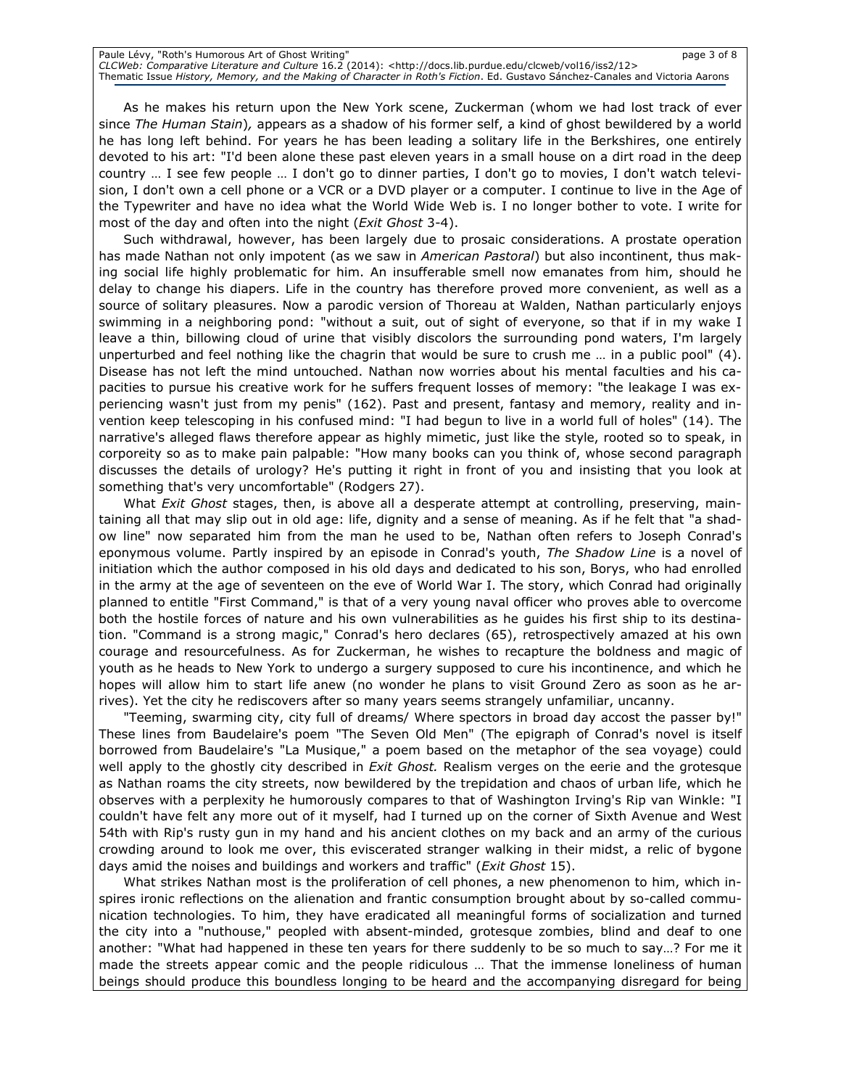| Paule Lévy, "Roth's Humorous Art of Ghost Writing"                                                                              | page 3 of 8 |
|---------------------------------------------------------------------------------------------------------------------------------|-------------|
| CLCWeb: Comparative Literature and Culture 16.2 (2014): <http: 12="" clcweb="" docs.lib.purdue.edu="" iss2="" vol16=""></http:> |             |
| Thematic Issue History, Memory, and the Making of Character in Roth's Fiction. Ed. Gustavo Sánchez-Canales and Victoria Aarons  |             |

As he makes his return upon the New York scene, Zuckerman (whom we had lost track of ever since The Human Stain), appears as a shadow of his former self, a kind of ghost bewildered by a world he has long left behind. For years he has been leading a solitary life in the Berkshires, one entirely devoted to his art: "I'd been alone these past eleven years in a small house on a dirt road in the deep country … I see few people … I don't go to dinner parties, I don't go to movies, I don't watch television, I don't own a cell phone or a VCR or a DVD player or a computer. I continue to live in the Age of the Typewriter and have no idea what the World Wide Web is. I no longer bother to vote. I write for most of the day and often into the night (Exit Ghost 3-4).

Such withdrawal, however, has been largely due to prosaic considerations. A prostate operation has made Nathan not only impotent (as we saw in American Pastoral) but also incontinent, thus making social life highly problematic for him. An insufferable smell now emanates from him, should he delay to change his diapers. Life in the country has therefore proved more convenient, as well as a source of solitary pleasures. Now a parodic version of Thoreau at Walden, Nathan particularly enjoys swimming in a neighboring pond: "without a suit, out of sight of everyone, so that if in my wake I leave a thin, billowing cloud of urine that visibly discolors the surrounding pond waters, I'm largely unperturbed and feel nothing like the chagrin that would be sure to crush me … in a public pool" (4). Disease has not left the mind untouched. Nathan now worries about his mental faculties and his capacities to pursue his creative work for he suffers frequent losses of memory: "the leakage I was experiencing wasn't just from my penis" (162). Past and present, fantasy and memory, reality and invention keep telescoping in his confused mind: "I had begun to live in a world full of holes" (14). The narrative's alleged flaws therefore appear as highly mimetic, just like the style, rooted so to speak, in corporeity so as to make pain palpable: "How many books can you think of, whose second paragraph discusses the details of urology? He's putting it right in front of you and insisting that you look at something that's very uncomfortable" (Rodgers 27).

What *Exit Ghost* stages, then, is above all a desperate attempt at controlling, preserving, maintaining all that may slip out in old age: life, dignity and a sense of meaning. As if he felt that "a shadow line" now separated him from the man he used to be, Nathan often refers to Joseph Conrad's eponymous volume. Partly inspired by an episode in Conrad's youth, The Shadow Line is a novel of initiation which the author composed in his old days and dedicated to his son, Borys, who had enrolled in the army at the age of seventeen on the eve of World War I. The story, which Conrad had originally planned to entitle "First Command," is that of a very young naval officer who proves able to overcome both the hostile forces of nature and his own vulnerabilities as he guides his first ship to its destination. "Command is a strong magic," Conrad's hero declares (65), retrospectively amazed at his own courage and resourcefulness. As for Zuckerman, he wishes to recapture the boldness and magic of youth as he heads to New York to undergo a surgery supposed to cure his incontinence, and which he hopes will allow him to start life anew (no wonder he plans to visit Ground Zero as soon as he arrives). Yet the city he rediscovers after so many years seems strangely unfamiliar, uncanny.

"Teeming, swarming city, city full of dreams/ Where spectors in broad day accost the passer by!" These lines from Baudelaire's poem "The Seven Old Men" (The epigraph of Conrad's novel is itself borrowed from Baudelaire's "La Musique," a poem based on the metaphor of the sea voyage) could well apply to the ghostly city described in *Exit Ghost*. Realism verges on the eerie and the grotesque as Nathan roams the city streets, now bewildered by the trepidation and chaos of urban life, which he observes with a perplexity he humorously compares to that of Washington Irving's Rip van Winkle: "I couldn't have felt any more out of it myself, had I turned up on the corner of Sixth Avenue and West 54th with Rip's rusty gun in my hand and his ancient clothes on my back and an army of the curious crowding around to look me over, this eviscerated stranger walking in their midst, a relic of bygone days amid the noises and buildings and workers and traffic" (*Exit Ghost* 15).

What strikes Nathan most is the proliferation of cell phones, a new phenomenon to him, which inspires ironic reflections on the alienation and frantic consumption brought about by so-called communication technologies. To him, they have eradicated all meaningful forms of socialization and turned the city into a "nuthouse," peopled with absent-minded, grotesque zombies, blind and deaf to one another: "What had happened in these ten years for there suddenly to be so much to say…? For me it made the streets appear comic and the people ridiculous … That the immense loneliness of human beings should produce this boundless longing to be heard and the accompanying disregard for being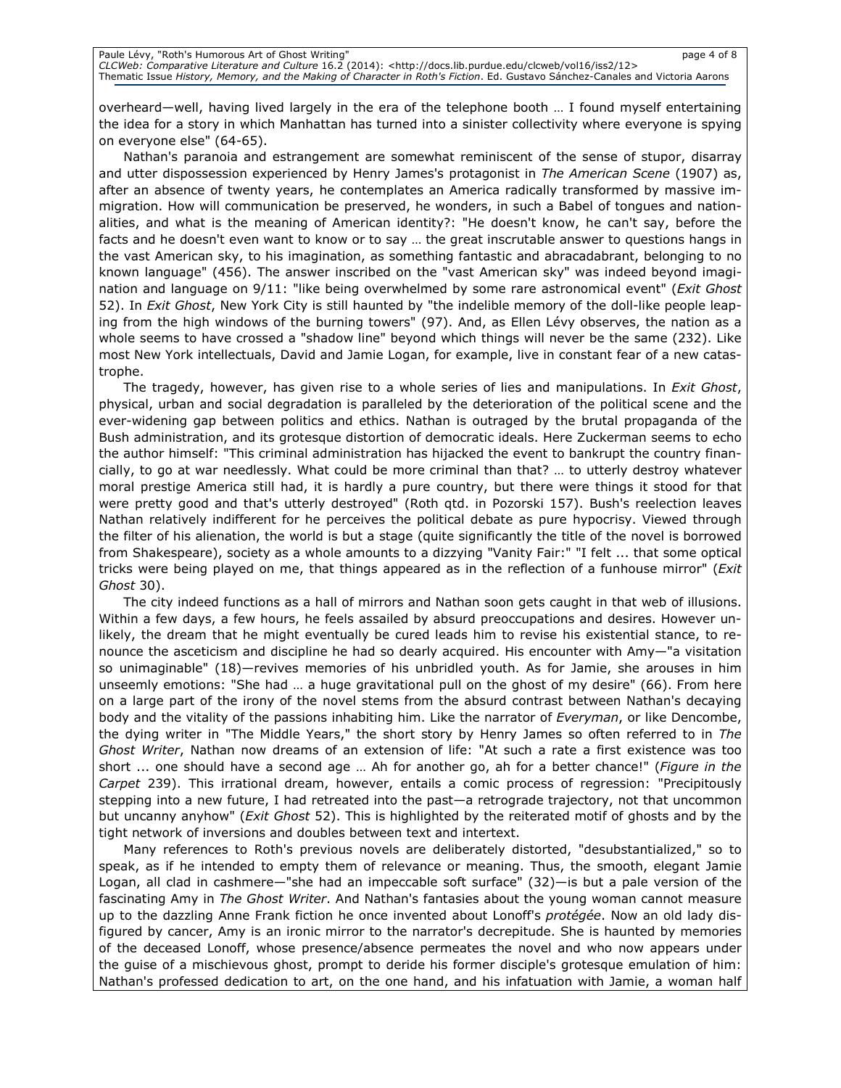overheard—well, having lived largely in the era of the telephone booth … I found myself entertaining the idea for a story in which Manhattan has turned into a sinister collectivity where everyone is spying on everyone else" (64-65).

Nathan's paranoia and estrangement are somewhat reminiscent of the sense of stupor, disarray and utter dispossession experienced by Henry James's protagonist in The American Scene (1907) as, after an absence of twenty years, he contemplates an America radically transformed by massive immigration. How will communication be preserved, he wonders, in such a Babel of tongues and nationalities, and what is the meaning of American identity?: "He doesn't know, he can't say, before the facts and he doesn't even want to know or to say … the great inscrutable answer to questions hangs in the vast American sky, to his imagination, as something fantastic and abracadabrant, belonging to no known language" (456). The answer inscribed on the "vast American sky" was indeed beyond imagination and language on 9/11: "like being overwhelmed by some rare astronomical event" (Exit Ghost 52). In Exit Ghost, New York City is still haunted by "the indelible memory of the doll-like people leaping from the high windows of the burning towers" (97). And, as Ellen Lévy observes, the nation as a whole seems to have crossed a "shadow line" beyond which things will never be the same (232). Like most New York intellectuals, David and Jamie Logan, for example, live in constant fear of a new catastrophe.

The tragedy, however, has given rise to a whole series of lies and manipulations. In *Exit Ghost*, physical, urban and social degradation is paralleled by the deterioration of the political scene and the ever-widening gap between politics and ethics. Nathan is outraged by the brutal propaganda of the Bush administration, and its grotesque distortion of democratic ideals. Here Zuckerman seems to echo the author himself: "This criminal administration has hijacked the event to bankrupt the country financially, to go at war needlessly. What could be more criminal than that? … to utterly destroy whatever moral prestige America still had, it is hardly a pure country, but there were things it stood for that were pretty good and that's utterly destroyed" (Roth qtd. in Pozorski 157). Bush's reelection leaves Nathan relatively indifferent for he perceives the political debate as pure hypocrisy. Viewed through the filter of his alienation, the world is but a stage (quite significantly the title of the novel is borrowed from Shakespeare), society as a whole amounts to a dizzying "Vanity Fair:" "I felt ... that some optical tricks were being played on me, that things appeared as in the reflection of a funhouse mirror" (*Exit* Ghost 30).

The city indeed functions as a hall of mirrors and Nathan soon gets caught in that web of illusions. Within a few days, a few hours, he feels assailed by absurd preoccupations and desires. However unlikely, the dream that he might eventually be cured leads him to revise his existential stance, to renounce the asceticism and discipline he had so dearly acquired. His encounter with Amy—"a visitation so unimaginable" (18)—revives memories of his unbridled youth. As for Jamie, she arouses in him unseemly emotions: "She had … a huge gravitational pull on the ghost of my desire" (66). From here on a large part of the irony of the novel stems from the absurd contrast between Nathan's decaying body and the vitality of the passions inhabiting him. Like the narrator of Everyman, or like Dencombe, the dying writer in "The Middle Years," the short story by Henry James so often referred to in The Ghost Writer, Nathan now dreams of an extension of life: "At such a rate a first existence was too short ... one should have a second age ... Ah for another go, ah for a better chance!" (Figure in the Carpet 239). This irrational dream, however, entails a comic process of regression: "Precipitously stepping into a new future, I had retreated into the past—a retrograde trajectory, not that uncommon but uncanny anyhow" (Exit Ghost 52). This is highlighted by the reiterated motif of ghosts and by the tight network of inversions and doubles between text and intertext.

Many references to Roth's previous novels are deliberately distorted, "desubstantialized," so to speak, as if he intended to empty them of relevance or meaning. Thus, the smooth, elegant Jamie Logan, all clad in cashmere—"she had an impeccable soft surface" (32)—is but a pale version of the fascinating Amy in The Ghost Writer. And Nathan's fantasies about the young woman cannot measure up to the dazzling Anne Frank fiction he once invented about Lonoff's protégée. Now an old lady disfigured by cancer, Amy is an ironic mirror to the narrator's decrepitude. She is haunted by memories of the deceased Lonoff, whose presence/absence permeates the novel and who now appears under the guise of a mischievous ghost, prompt to deride his former disciple's grotesque emulation of him: Nathan's professed dedication to art, on the one hand, and his infatuation with Jamie, a woman half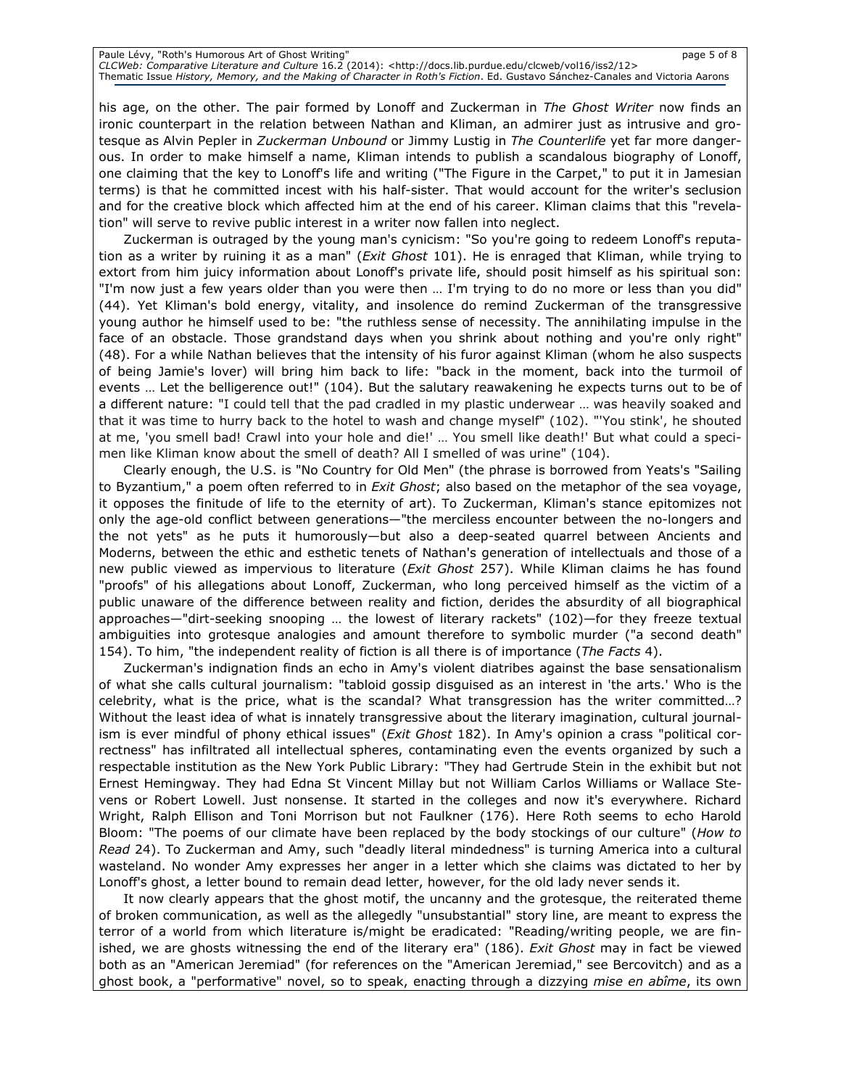| Paule Lévy, "Roth's Humorous Art of Ghost Writing"                                                                              | page 5 of 8 |
|---------------------------------------------------------------------------------------------------------------------------------|-------------|
| CLCWeb: Comparative Literature and Culture 16.2 (2014): <http: 12="" clcweb="" docs.lib.purdue.edu="" iss2="" vol16=""></http:> |             |
| Thematic Issue History, Memory, and the Making of Character in Roth's Fiction. Ed. Gustavo Sánchez-Canales and Victoria Aarons  |             |

his age, on the other. The pair formed by Lonoff and Zuckerman in The Ghost Writer now finds an ironic counterpart in the relation between Nathan and Kliman, an admirer just as intrusive and grotesque as Alvin Pepler in Zuckerman Unbound or Jimmy Lustig in The Counterlife yet far more dangerous. In order to make himself a name, Kliman intends to publish a scandalous biography of Lonoff, one claiming that the key to Lonoff's life and writing ("The Figure in the Carpet," to put it in Jamesian terms) is that he committed incest with his half-sister. That would account for the writer's seclusion and for the creative block which affected him at the end of his career. Kliman claims that this "revelation" will serve to revive public interest in a writer now fallen into neglect.

Zuckerman is outraged by the young man's cynicism: "So you're going to redeem Lonoff's reputation as a writer by ruining it as a man" (Exit Ghost 101). He is enraged that Kliman, while trying to extort from him juicy information about Lonoff's private life, should posit himself as his spiritual son: "I'm now just a few years older than you were then … I'm trying to do no more or less than you did" (44). Yet Kliman's bold energy, vitality, and insolence do remind Zuckerman of the transgressive young author he himself used to be: "the ruthless sense of necessity. The annihilating impulse in the face of an obstacle. Those grandstand days when you shrink about nothing and you're only right" (48). For a while Nathan believes that the intensity of his furor against Kliman (whom he also suspects of being Jamie's lover) will bring him back to life: "back in the moment, back into the turmoil of events … Let the belligerence out!" (104). But the salutary reawakening he expects turns out to be of a different nature: "I could tell that the pad cradled in my plastic underwear … was heavily soaked and that it was time to hurry back to the hotel to wash and change myself" (102). "'You stink', he shouted at me, 'you smell bad! Crawl into your hole and die!' … You smell like death!' But what could a specimen like Kliman know about the smell of death? All I smelled of was urine" (104).

Clearly enough, the U.S. is "No Country for Old Men" (the phrase is borrowed from Yeats's "Sailing to Byzantium," a poem often referred to in Exit Ghost; also based on the metaphor of the sea voyage, it opposes the finitude of life to the eternity of art). To Zuckerman, Kliman's stance epitomizes not only the age-old conflict between generations—"the merciless encounter between the no-longers and the not yets" as he puts it humorously—but also a deep-seated quarrel between Ancients and Moderns, between the ethic and esthetic tenets of Nathan's generation of intellectuals and those of a new public viewed as impervious to literature (*Exit Ghost* 257). While Kliman claims he has found "proofs" of his allegations about Lonoff, Zuckerman, who long perceived himself as the victim of a public unaware of the difference between reality and fiction, derides the absurdity of all biographical approaches—"dirt-seeking snooping … the lowest of literary rackets" (102)—for they freeze textual ambiguities into grotesque analogies and amount therefore to symbolic murder ("a second death" 154). To him, "the independent reality of fiction is all there is of importance (The Facts 4).

Zuckerman's indignation finds an echo in Amy's violent diatribes against the base sensationalism of what she calls cultural journalism: "tabloid gossip disguised as an interest in 'the arts.' Who is the celebrity, what is the price, what is the scandal? What transgression has the writer committed…? Without the least idea of what is innately transgressive about the literary imagination, cultural journalism is ever mindful of phony ethical issues" (*Exit Ghost* 182). In Amy's opinion a crass "political correctness" has infiltrated all intellectual spheres, contaminating even the events organized by such a respectable institution as the New York Public Library: "They had Gertrude Stein in the exhibit but not Ernest Hemingway. They had Edna St Vincent Millay but not William Carlos Williams or Wallace Stevens or Robert Lowell. Just nonsense. It started in the colleges and now it's everywhere. Richard Wright, Ralph Ellison and Toni Morrison but not Faulkner (176). Here Roth seems to echo Harold Bloom: "The poems of our climate have been replaced by the body stockings of our culture" (How to Read 24). To Zuckerman and Amy, such "deadly literal mindedness" is turning America into a cultural wasteland. No wonder Amy expresses her anger in a letter which she claims was dictated to her by Lonoff's ghost, a letter bound to remain dead letter, however, for the old lady never sends it.

It now clearly appears that the ghost motif, the uncanny and the grotesque, the reiterated theme of broken communication, as well as the allegedly "unsubstantial" story line, are meant to express the terror of a world from which literature is/might be eradicated: "Reading/writing people, we are finished, we are ghosts witnessing the end of the literary era" (186). Exit Ghost may in fact be viewed both as an "American Jeremiad" (for references on the "American Jeremiad," see Bercovitch) and as a ghost book, a "performative" novel, so to speak, enacting through a dizzying mise en abîme, its own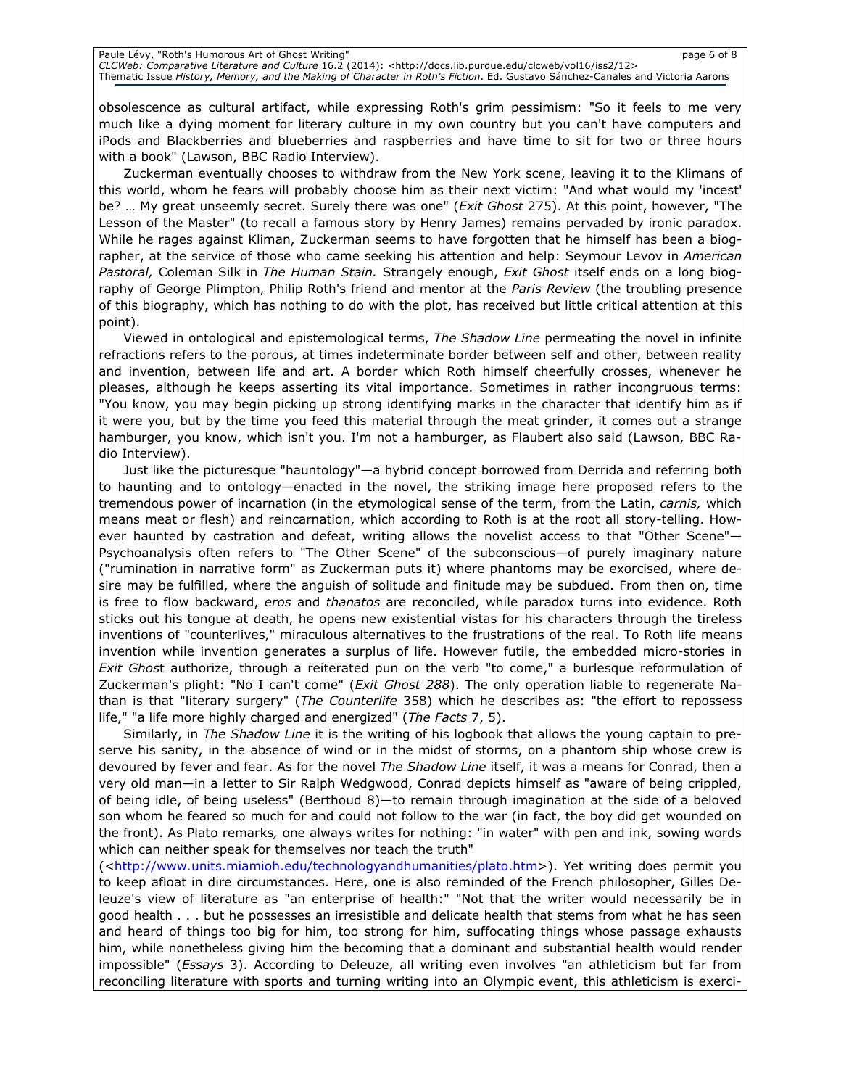obsolescence as cultural artifact, while expressing Roth's grim pessimism: "So it feels to me very much like a dying moment for literary culture in my own country but you can't have computers and iPods and Blackberries and blueberries and raspberries and have time to sit for two or three hours with a book" (Lawson, BBC Radio Interview).

Zuckerman eventually chooses to withdraw from the New York scene, leaving it to the Klimans of this world, whom he fears will probably choose him as their next victim: "And what would my 'incest' be? ... My great unseemly secret. Surely there was one" (*Exit Ghost* 275). At this point, however, "The Lesson of the Master" (to recall a famous story by Henry James) remains pervaded by ironic paradox. While he rages against Kliman, Zuckerman seems to have forgotten that he himself has been a biographer, at the service of those who came seeking his attention and help: Seymour Levov in American Pastoral, Coleman Silk in The Human Stain. Strangely enough, Exit Ghost itself ends on a long biography of George Plimpton, Philip Roth's friend and mentor at the Paris Review (the troubling presence of this biography, which has nothing to do with the plot, has received but little critical attention at this point).

Viewed in ontological and epistemological terms, The Shadow Line permeating the novel in infinite refractions refers to the porous, at times indeterminate border between self and other, between reality and invention, between life and art. A border which Roth himself cheerfully crosses, whenever he pleases, although he keeps asserting its vital importance. Sometimes in rather incongruous terms: "You know, you may begin picking up strong identifying marks in the character that identify him as if it were you, but by the time you feed this material through the meat grinder, it comes out a strange hamburger, you know, which isn't you. I'm not a hamburger, as Flaubert also said (Lawson, BBC Radio Interview).

Just like the picturesque "hauntology"—a hybrid concept borrowed from Derrida and referring both to haunting and to ontology—enacted in the novel, the striking image here proposed refers to the tremendous power of incarnation (in the etymological sense of the term, from the Latin, carnis, which means meat or flesh) and reincarnation, which according to Roth is at the root all story-telling. However haunted by castration and defeat, writing allows the novelist access to that "Other Scene"— Psychoanalysis often refers to "The Other Scene" of the subconscious—of purely imaginary nature ("rumination in narrative form" as Zuckerman puts it) where phantoms may be exorcised, where desire may be fulfilled, where the anguish of solitude and finitude may be subdued. From then on, time is free to flow backward, eros and thanatos are reconciled, while paradox turns into evidence. Roth sticks out his tongue at death, he opens new existential vistas for his characters through the tireless inventions of "counterlives," miraculous alternatives to the frustrations of the real. To Roth life means invention while invention generates a surplus of life. However futile, the embedded micro-stories in Exit Ghost authorize, through a reiterated pun on the verb "to come," a burlesque reformulation of Zuckerman's plight: "No I can't come" (*Exit Ghost 288*). The only operation liable to regenerate Nathan is that "literary surgery" (The Counterlife 358) which he describes as: "the effort to repossess life," "a life more highly charged and energized" (The Facts 7, 5).

Similarly, in The Shadow Line it is the writing of his logbook that allows the young captain to preserve his sanity, in the absence of wind or in the midst of storms, on a phantom ship whose crew is devoured by fever and fear. As for the novel The Shadow Line itself, it was a means for Conrad, then a very old man—in a letter to Sir Ralph Wedgwood, Conrad depicts himself as "aware of being crippled, of being idle, of being useless" (Berthoud 8)—to remain through imagination at the side of a beloved son whom he feared so much for and could not follow to the war (in fact, the boy did get wounded on the front). As Plato remarks, one always writes for nothing: "in water" with pen and ink, sowing words which can neither speak for themselves nor teach the truth"

(<http://www.units.miamioh.edu/technologyandhumanities/plato.htm>). Yet writing does permit you to keep afloat in dire circumstances. Here, one is also reminded of the French philosopher, Gilles Deleuze's view of literature as "an enterprise of health:" "Not that the writer would necessarily be in good health . . . but he possesses an irresistible and delicate health that stems from what he has seen and heard of things too big for him, too strong for him, suffocating things whose passage exhausts him, while nonetheless giving him the becoming that a dominant and substantial health would render impossible" (Essays 3). According to Deleuze, all writing even involves "an athleticism but far from reconciling literature with sports and turning writing into an Olympic event, this athleticism is exerci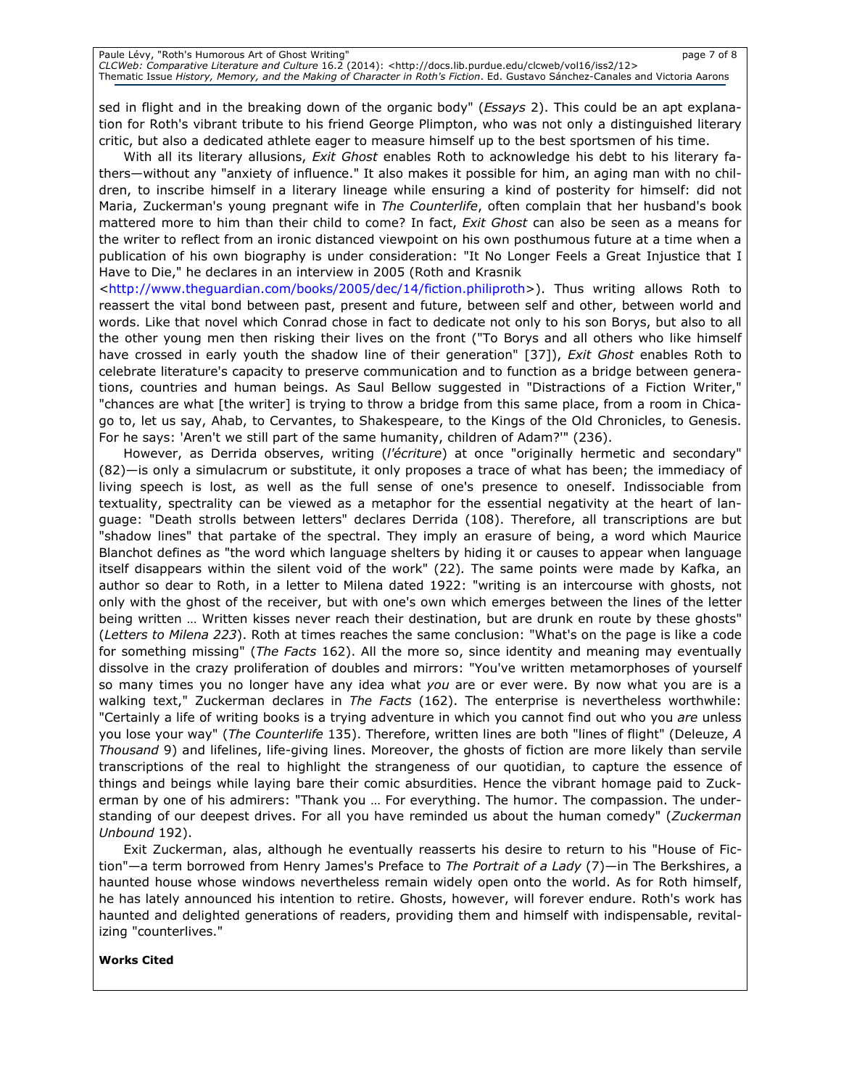sed in flight and in the breaking down of the organic body" (*Essays* 2). This could be an apt explanation for Roth's vibrant tribute to his friend George Plimpton, who was not only a distinguished literary critic, but also a dedicated athlete eager to measure himself up to the best sportsmen of his time.

With all its literary allusions, Exit Ghost enables Roth to acknowledge his debt to his literary fathers—without any "anxiety of influence." It also makes it possible for him, an aging man with no children, to inscribe himself in a literary lineage while ensuring a kind of posterity for himself: did not Maria, Zuckerman's young pregnant wife in The Counterlife, often complain that her husband's book mattered more to him than their child to come? In fact, Exit Ghost can also be seen as a means for the writer to reflect from an ironic distanced viewpoint on his own posthumous future at a time when a publication of his own biography is under consideration: "It No Longer Feels a Great Injustice that I Have to Die," he declares in an interview in 2005 (Roth and Krasnik

<http://www.theguardian.com/books/2005/dec/14/fiction.philiproth>). Thus writing allows Roth to reassert the vital bond between past, present and future, between self and other, between world and words. Like that novel which Conrad chose in fact to dedicate not only to his son Borys, but also to all the other young men then risking their lives on the front ("To Borys and all others who like himself have crossed in early youth the shadow line of their generation" [37]), Exit Ghost enables Roth to celebrate literature's capacity to preserve communication and to function as a bridge between generations, countries and human beings. As Saul Bellow suggested in "Distractions of a Fiction Writer," "chances are what [the writer] is trying to throw a bridge from this same place, from a room in Chicago to, let us say, Ahab, to Cervantes, to Shakespeare, to the Kings of the Old Chronicles, to Genesis. For he says: 'Aren't we still part of the same humanity, children of Adam?'" (236).

However, as Derrida observes, writing (*l'écriture*) at once "originally hermetic and secondary" (82)—is only a simulacrum or substitute, it only proposes a trace of what has been; the immediacy of living speech is lost, as well as the full sense of one's presence to oneself. Indissociable from textuality, spectrality can be viewed as a metaphor for the essential negativity at the heart of language: "Death strolls between letters" declares Derrida (108). Therefore, all transcriptions are but "shadow lines" that partake of the spectral. They imply an erasure of being, a word which Maurice Blanchot defines as "the word which language shelters by hiding it or causes to appear when language itself disappears within the silent void of the work" (22). The same points were made by Kafka, an author so dear to Roth, in a letter to Milena dated 1922: "writing is an intercourse with ghosts, not only with the ghost of the receiver, but with one's own which emerges between the lines of the letter being written … Written kisses never reach their destination, but are drunk en route by these ghosts" (Letters to Milena 223). Roth at times reaches the same conclusion: "What's on the page is like a code for something missing" (The Facts 162). All the more so, since identity and meaning may eventually dissolve in the crazy proliferation of doubles and mirrors: "You've written metamorphoses of yourself so many times you no longer have any idea what you are or ever were. By now what you are is a walking text," Zuckerman declares in The Facts (162). The enterprise is nevertheless worthwhile: "Certainly a life of writing books is a trying adventure in which you cannot find out who you are unless you lose your way" (The Counterlife 135). Therefore, written lines are both "lines of flight" (Deleuze, A Thousand 9) and lifelines, life-giving lines. Moreover, the ghosts of fiction are more likely than servile transcriptions of the real to highlight the strangeness of our quotidian, to capture the essence of things and beings while laying bare their comic absurdities. Hence the vibrant homage paid to Zuckerman by one of his admirers: "Thank you … For everything. The humor. The compassion. The understanding of our deepest drives. For all you have reminded us about the human comedy" (Zuckerman Unbound 192).

Exit Zuckerman, alas, although he eventually reasserts his desire to return to his "House of Fiction"—a term borrowed from Henry James's Preface to The Portrait of a Lady (7)—in The Berkshires, a haunted house whose windows nevertheless remain widely open onto the world. As for Roth himself, he has lately announced his intention to retire. Ghosts, however, will forever endure. Roth's work has haunted and delighted generations of readers, providing them and himself with indispensable, revitalizing "counterlives."

### Works Cited